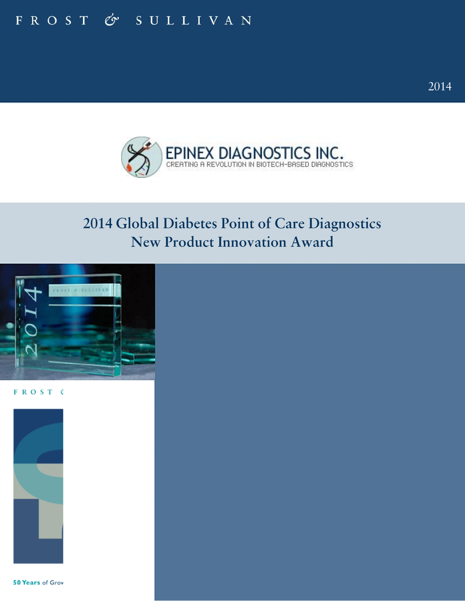# FROST & SULLIVAN



# 2014 Global Diabetes Point of Care Diagnostics New Product Innovation Award



FROST (



50 Years of Grov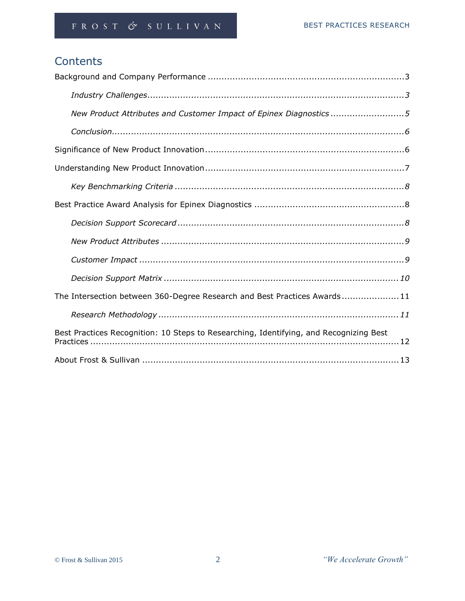# **Contents**

| New Product Attributes and Customer Impact of Epinex Diagnostics5                      |  |  |  |  |  |
|----------------------------------------------------------------------------------------|--|--|--|--|--|
|                                                                                        |  |  |  |  |  |
|                                                                                        |  |  |  |  |  |
|                                                                                        |  |  |  |  |  |
|                                                                                        |  |  |  |  |  |
|                                                                                        |  |  |  |  |  |
|                                                                                        |  |  |  |  |  |
|                                                                                        |  |  |  |  |  |
|                                                                                        |  |  |  |  |  |
|                                                                                        |  |  |  |  |  |
| The Intersection between 360-Degree Research and Best Practices Awards11               |  |  |  |  |  |
|                                                                                        |  |  |  |  |  |
| Best Practices Recognition: 10 Steps to Researching, Identifying, and Recognizing Best |  |  |  |  |  |
|                                                                                        |  |  |  |  |  |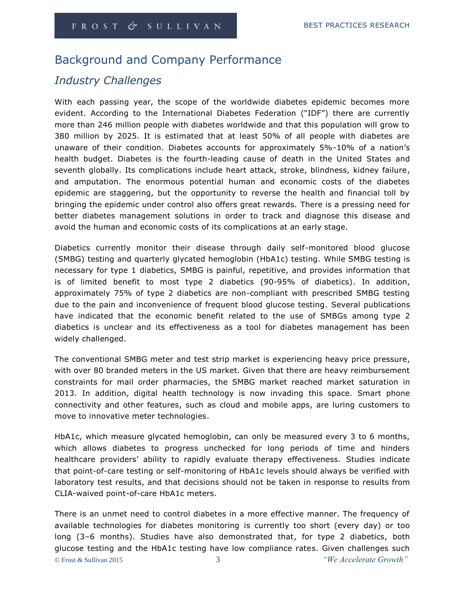# Background and Company Performance

### *Industry Challenges*

With each passing year, the scope of the worldwide diabetes epidemic becomes more evident. According to the International Diabetes Federation ("IDF") there are currently more than 246 million people with diabetes worldwide and that this population will grow to 380 million by 2025. It is estimated that at least 50% of all people with diabetes are unaware of their condition. Diabetes accounts for approximately 5%-10% of a nation's health budget. Diabetes is the fourth-leading cause of death in the United States and seventh globally. Its complications include heart attack, stroke, blindness, kidney failure, and amputation. The enormous potential human and economic costs of the diabetes epidemic are staggering, but the opportunity to reverse the health and financial toll by bringing the epidemic under control also offers great rewards. There is a pressing need for better diabetes management solutions in order to track and diagnose this disease and avoid the human and economic costs of its complications at an early stage.

Diabetics currently monitor their disease through daily self-monitored blood glucose (SMBG) testing and quarterly glycated hemoglobin (HbA1c) testing. While SMBG testing is necessary for type 1 diabetics, SMBG is painful, repetitive, and provides information that is of limited benefit to most type 2 diabetics (90-95% of diabetics). In addition, approximately 75% of type 2 diabetics are non-compliant with prescribed SMBG testing due to the pain and inconvenience of frequent blood glucose testing. Several publications have indicated that the economic benefit related to the use of SMBGs among type 2 diabetics is unclear and its effectiveness as a tool for diabetes management has been widely challenged.

The conventional SMBG meter and test strip market is experiencing heavy price pressure, with over 80 branded meters in the US market. Given that there are heavy reimbursement constraints for mail order pharmacies, the SMBG market reached market saturation in 2013. In addition, digital health technology is now invading this space. Smart phone connectivity and other features, such as cloud and mobile apps, are luring customers to move to innovative meter technologies.

HbA1c, which measure glycated hemoglobin, can only be measured every 3 to 6 months, which allows diabetes to progress unchecked for long periods of time and hinders healthcare providers' ability to rapidly evaluate therapy effectiveness. Studies indicate that point-of-care testing or self-monitoring of HbA1c levels should always be verified with laboratory test results, and that decisions should not be taken in response to results from CLIA-waived point-of-care HbA1c meters.

© Frost & Sullivan 2015 3 *"We Accelerate Growth"* There is an unmet need to control diabetes in a more effective manner. The frequency of available technologies for diabetes monitoring is currently too short (every day) or too long (3–6 months). Studies have also demonstrated that, for type 2 diabetics, both glucose testing and the HbA1c testing have low compliance rates. Given challenges such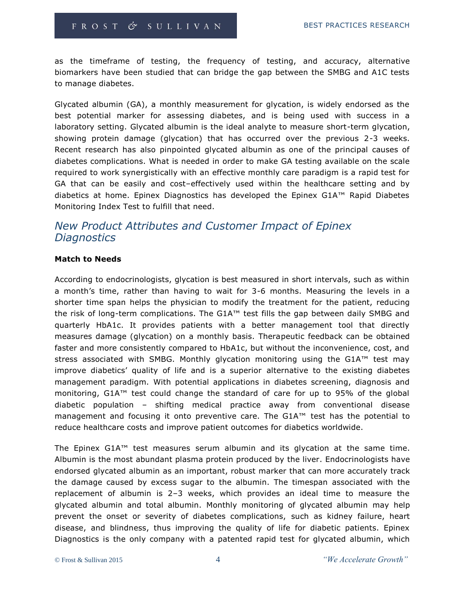as the timeframe of testing, the frequency of testing, and accuracy, alternative biomarkers have been studied that can bridge the gap between the SMBG and A1C tests to manage diabetes.

Glycated albumin (GA), a monthly measurement for glycation, is widely endorsed as the best potential marker for assessing diabetes, and is being used with success in a laboratory setting. Glycated albumin is the ideal analyte to measure short-term glycation, showing protein damage (glycation) that has occurred over the previous 2-3 weeks. Recent research has also pinpointed glycated albumin as one of the principal causes of diabetes complications. What is needed in order to make GA testing available on the scale required to work synergistically with an effective monthly care paradigm is a rapid test for GA that can be easily and cost–effectively used within the healthcare setting and by diabetics at home. Epinex Diagnostics has developed the Epinex G1A™ Rapid Diabetes Monitoring Index Test to fulfill that need.

### *New Product Attributes and Customer Impact of Epinex Diagnostics*

#### **Match to Needs**

According to endocrinologists, glycation is best measured in short intervals, such as within a month's time, rather than having to wait for 3-6 months. Measuring the levels in a shorter time span helps the physician to modify the treatment for the patient, reducing the risk of long-term complications. The G1A™ test fills the gap between daily SMBG and quarterly HbA1c. It provides patients with a better management tool that directly measures damage (glycation) on a monthly basis. Therapeutic feedback can be obtained faster and more consistently compared to HbA1c, but without the inconvenience, cost, and stress associated with SMBG. Monthly glycation monitoring using the G1A™ test may improve diabetics' quality of life and is a superior alternative to the existing diabetes management paradigm. With potential applications in diabetes screening, diagnosis and monitoring, G1A™ test could change the standard of care for up to 95% of the global diabetic population – shifting medical practice away from conventional disease management and focusing it onto preventive care. The G1A™ test has the potential to reduce healthcare costs and improve patient outcomes for diabetics worldwide.

The Epinex G1A™ test measures serum albumin and its glycation at the same time. Albumin is the most abundant plasma protein produced by the liver. Endocrinologists have endorsed glycated albumin as an important, robust marker that can more accurately track the damage caused by excess sugar to the albumin. The timespan associated with the replacement of albumin is 2–3 weeks, which provides an ideal time to measure the glycated albumin and total albumin. Monthly monitoring of glycated albumin may help prevent the onset or severity of diabetes complications, such as kidney failure, heart disease, and blindness, thus improving the quality of life for diabetic patients. Epinex Diagnostics is the only company with a patented rapid test for glycated albumin, which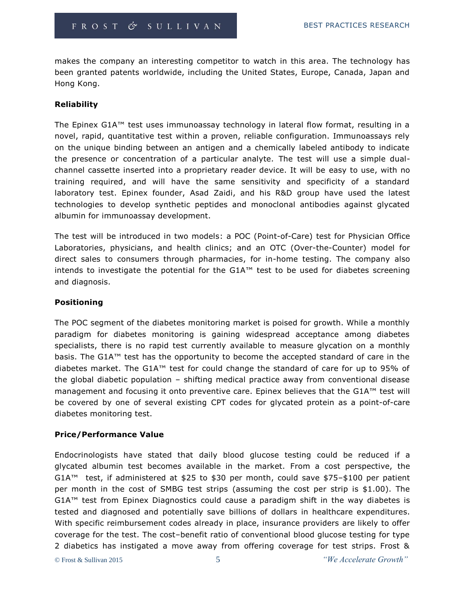makes the company an interesting competitor to watch in this area. The technology has been granted patents worldwide, including the United States, Europe, Canada, Japan and Hong Kong.

#### **Reliability**

The Epinex G1A™ test uses immunoassay technology in lateral flow format, resulting in a novel, rapid, quantitative test within a proven, reliable configuration. Immunoassays rely on the unique binding between an antigen and a chemically labeled antibody to indicate the presence or concentration of a particular analyte*.* The test will use a simple dualchannel cassette inserted into a proprietary reader device. It will be easy to use, with no training required, and will have the same sensitivity and specificity of a standard laboratory test. Epinex founder, Asad Zaidi, and his R&D group have used the latest technologies to develop synthetic peptides and monoclonal antibodies against glycated albumin for immunoassay development.

The test will be introduced in two models: a POC (Point-of-Care) test for Physician Office Laboratories, physicians, and health clinics; and an OTC (Over-the-Counter) model for direct sales to consumers through pharmacies, for in-home testing. The company also intends to investigate the potential for the G1A™ test to be used for diabetes screening and diagnosis.

#### **Positioning**

The POC segment of the diabetes monitoring market is poised for growth. While a monthly paradigm for diabetes monitoring is gaining widespread acceptance among diabetes specialists, there is no rapid test currently available to measure glycation on a monthly basis. The G1A™ test has the opportunity to become the accepted standard of care in the diabetes market. The G1A™ test for could change the standard of care for up to 95% of the global diabetic population – shifting medical practice away from conventional disease management and focusing it onto preventive care. Epinex believes that the G1A™ test will be covered by one of several existing CPT codes for glycated protein as a point-of-care diabetes monitoring test.

#### **Price/Performance Value**

Endocrinologists have stated that daily blood glucose testing could be reduced if a glycated albumin test becomes available in the market. From a cost perspective, the G1A<sup>™</sup> test, if administered at \$25 to \$30 per month, could save \$75-\$100 per patient per month in the cost of SMBG test strips (assuming the cost per strip is \$1.00). The G1A™ test from Epinex Diagnostics could cause a paradigm shift in the way diabetes is tested and diagnosed and potentially save billions of dollars in healthcare expenditures. With specific reimbursement codes already in place, insurance providers are likely to offer coverage for the test. The cost–benefit ratio of conventional blood glucose testing for type 2 diabetics has instigated a move away from offering coverage for test strips. Frost &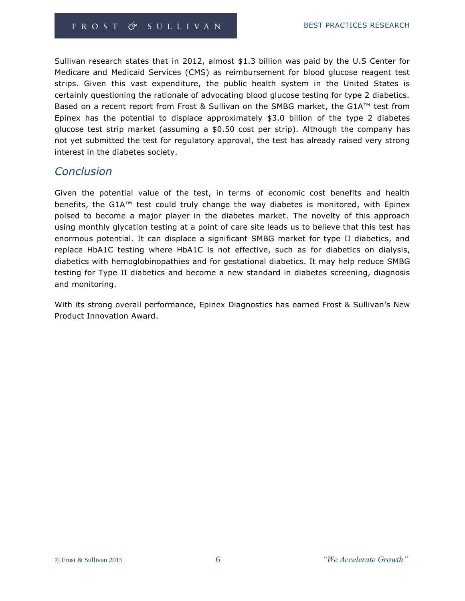Sullivan research states that in 2012, almost \$1.3 billion was paid by the U.S Center for Medicare and Medicaid Services (CMS) as reimbursement for blood glucose reagent test strips. Given this vast expenditure, the public health system in the United States is certainly questioning the rationale of advocating blood glucose testing for type 2 diabetics. Based on a recent report from Frost & Sullivan on the SMBG market, the G1A™ test from Epinex has the potential to displace approximately \$3.0 billion of the type 2 diabetes glucose test strip market (assuming a \$0.50 cost per strip). Although the company has not yet submitted the test for regulatory approval, the test has already raised very strong interest in the diabetes society.

### *Conclusion*

Given the potential value of the test, in terms of economic cost benefits and health benefits, the G1A™ test could truly change the way diabetes is monitored, with Epinex poised to become a major player in the diabetes market. The novelty of this approach using monthly glycation testing at a point of care site leads us to believe that this test has enormous potential. It can displace a significant SMBG market for type II diabetics, and replace HbA1C testing where HbA1C is not effective, such as for diabetics on dialysis, diabetics with hemoglobinopathies and for gestational diabetics. It may help reduce SMBG testing for Type II diabetics and become a new standard in diabetes screening, diagnosis and monitoring.

With its strong overall performance, Epinex Diagnostics has earned Frost & Sullivan's New Product Innovation Award.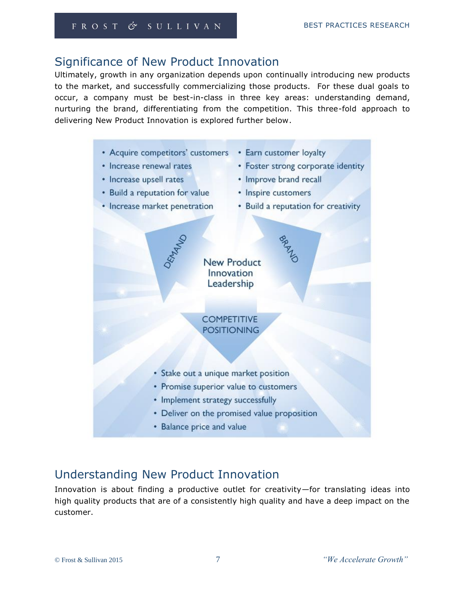# Significance of New Product Innovation

Ultimately, growth in any organization depends upon continually introducing new products to the market, and successfully commercializing those products. For these dual goals to occur, a company must be best-in-class in three key areas: understanding demand, nurturing the brand, differentiating from the competition. This three-fold approach to delivering New Product Innovation is explored further below.

• Acquire competitors' customers • Earn customer loyalty • Increase renewal rates • Foster strong corporate identity • Increase upsell rates • Improve brand recall • Build a reputation for value • Inspire customers • Increase market penetration • Build a reputation for creativity **New Product** Innovation Leadership **COMPETITIVE POSITIONING** • Stake out a unique market position • Promise superior value to customers • Implement strategy successfully • Deliver on the promised value proposition • Balance price and value

# Understanding New Product Innovation

Innovation is about finding a productive outlet for creativity—for translating ideas into high quality products that are of a consistently high quality and have a deep impact on the customer.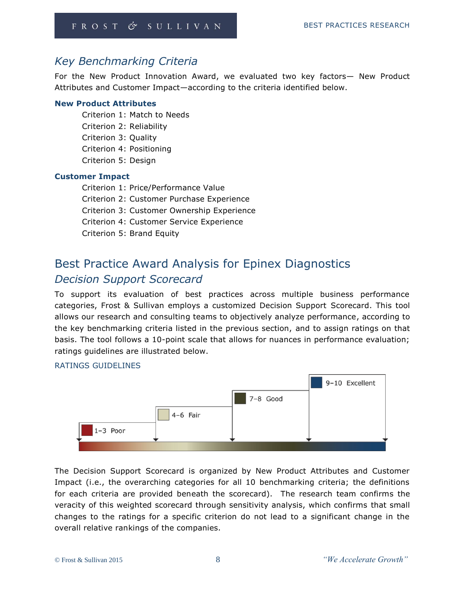## *Key Benchmarking Criteria*

For the New Product Innovation Award, we evaluated two key factors— New Product Attributes and Customer Impact—according to the criteria identified below.

#### **New Product Attributes**

Criterion 1: Match to Needs Criterion 2: Reliability Criterion 3: Quality Criterion 4: Positioning Criterion 5: Design

#### **Customer Impact**

Criterion 1: Price/Performance Value Criterion 2: Customer Purchase Experience Criterion 3: Customer Ownership Experience Criterion 4: Customer Service Experience Criterion 5: Brand Equity

# Best Practice Award Analysis for Epinex Diagnostics *Decision Support Scorecard*

To support its evaluation of best practices across multiple business performance categories, Frost & Sullivan employs a customized Decision Support Scorecard. This tool allows our research and consulting teams to objectively analyze performance, according to the key benchmarking criteria listed in the previous section, and to assign ratings on that basis. The tool follows a 10-point scale that allows for nuances in performance evaluation; ratings guidelines are illustrated below.

#### RATINGS GUIDELINES



The Decision Support Scorecard is organized by New Product Attributes and Customer Impact (i.e., the overarching categories for all 10 benchmarking criteria; the definitions for each criteria are provided beneath the scorecard). The research team confirms the veracity of this weighted scorecard through sensitivity analysis, which confirms that small changes to the ratings for a specific criterion do not lead to a significant change in the overall relative rankings of the companies.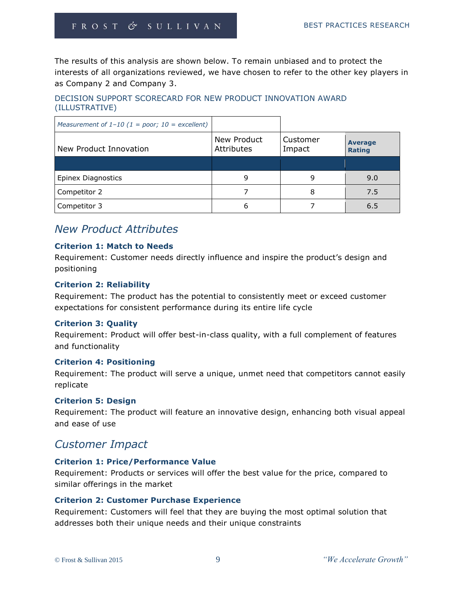The results of this analysis are shown below. To remain unbiased and to protect the interests of all organizations reviewed, we have chosen to refer to the other key players in as Company 2 and Company 3.

#### DECISION SUPPORT SCORECARD FOR NEW PRODUCT INNOVATION AWARD (ILLUSTRATIVE)

| Measurement of $1-10$ (1 = poor; 10 = excellent) |                           |                    |                                 |
|--------------------------------------------------|---------------------------|--------------------|---------------------------------|
| New Product Innovation                           | New Product<br>Attributes | Customer<br>Impact | <b>Average</b><br><b>Rating</b> |
|                                                  |                           |                    |                                 |
| <b>Epinex Diagnostics</b>                        |                           | 9                  | 9.0                             |
| Competitor 2                                     |                           | 8                  | 7.5                             |
| Competitor 3                                     | 6                         |                    | 6.5                             |

## *New Product Attributes*

#### **Criterion 1: Match to Needs**

Requirement: Customer needs directly influence and inspire the product's design and positioning

#### **Criterion 2: Reliability**

Requirement: The product has the potential to consistently meet or exceed customer expectations for consistent performance during its entire life cycle

#### **Criterion 3: Quality**

Requirement: Product will offer best-in-class quality, with a full complement of features and functionality

#### **Criterion 4: Positioning**

Requirement: The product will serve a unique, unmet need that competitors cannot easily replicate

#### **Criterion 5: Design**

Requirement: The product will feature an innovative design, enhancing both visual appeal and ease of use

## *Customer Impact*

#### **Criterion 1: Price/Performance Value**

Requirement: Products or services will offer the best value for the price, compared to similar offerings in the market

#### **Criterion 2: Customer Purchase Experience**

Requirement: Customers will feel that they are buying the most optimal solution that addresses both their unique needs and their unique constraints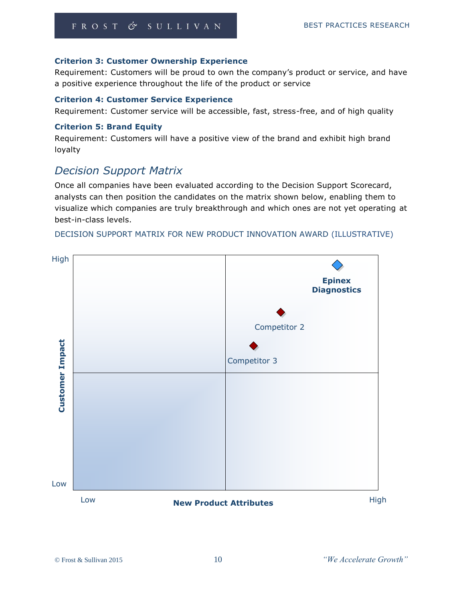#### **Criterion 3: Customer Ownership Experience**

Requirement: Customers will be proud to own the company's product or service, and have a positive experience throughout the life of the product or service

#### **Criterion 4: Customer Service Experience**

Requirement: Customer service will be accessible, fast, stress-free, and of high quality

#### **Criterion 5: Brand Equity**

Requirement: Customers will have a positive view of the brand and exhibit high brand loyalty

# *Decision Support Matrix*

Once all companies have been evaluated according to the Decision Support Scorecard, analysts can then position the candidates on the matrix shown below, enabling them to visualize which companies are truly breakthrough and which ones are not yet operating at best-in-class levels.

#### DECISION SUPPORT MATRIX FOR NEW PRODUCT INNOVATION AWARD (ILLUSTRATIVE)

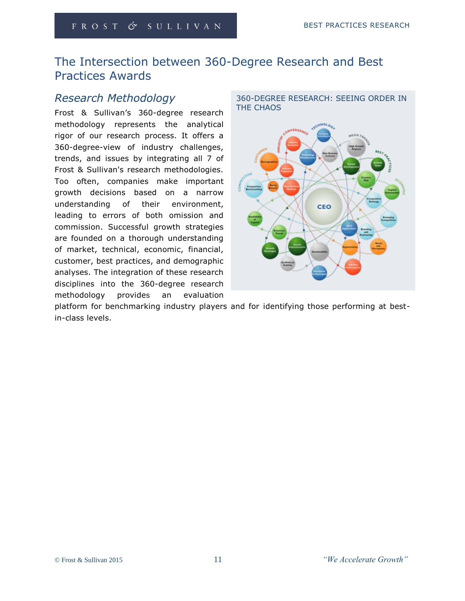# The Intersection between 360-Degree Research and Best Practices Awards

## *Research Methodology*

Frost & Sullivan's 360-degree research methodology represents the analytical rigor of our research process. It offers a 360-degree-view of industry challenges, trends, and issues by integrating all 7 of Frost & Sullivan's research methodologies. Too often, companies make important growth decisions based on a narrow understanding of their environment, leading to errors of both omission and commission. Successful growth strategies are founded on a thorough understanding of market, technical, economic, financial, customer, best practices, and demographic analyses. The integration of these research disciplines into the 360-degree research methodology provides an evaluation



platform for benchmarking industry players and for identifying those performing at bestin-class levels.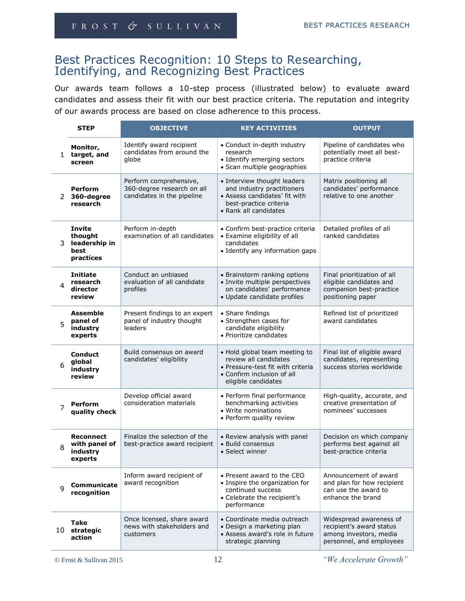## Best Practices Recognition: 10 Steps to Researching, Identifying, and Recognizing Best Practices

Our awards team follows a 10-step process (illustrated below) to evaluate award candidates and assess their fit with our best practice criteria. The reputation and integrity of our awards process are based on close adherence to this process.

| <b>STEP</b><br><b>OBJECTIVE</b> |                                                                |                                                                                    | <b>KEY ACTIVITIES</b>                                                                                                                            | <b>OUTPUT</b>                                                                                             |
|---------------------------------|----------------------------------------------------------------|------------------------------------------------------------------------------------|--------------------------------------------------------------------------------------------------------------------------------------------------|-----------------------------------------------------------------------------------------------------------|
| $\mathbf{1}$                    | Monitor,<br>target, and<br>screen                              | Identify award recipient<br>candidates from around the<br>globe                    | • Conduct in-depth industry<br>research<br>• Identify emerging sectors<br>· Scan multiple geographies                                            | Pipeline of candidates who<br>potentially meet all best-<br>practice criteria                             |
| 2                               | <b>Perform</b><br>360-degree<br>research                       | Perform comprehensive,<br>360-degree research on all<br>candidates in the pipeline | • Interview thought leaders<br>and industry practitioners<br>• Assess candidates' fit with<br>best-practice criteria<br>• Rank all candidates    | Matrix positioning all<br>candidates' performance<br>relative to one another                              |
| 3                               | <b>Invite</b><br>thought<br>leadership in<br>best<br>practices | Perform in-depth<br>examination of all candidates                                  | • Confirm best-practice criteria<br>• Examine eligibility of all<br>candidates<br>• Identify any information gaps                                | Detailed profiles of all<br>ranked candidates                                                             |
| 4                               | <b>Initiate</b><br>research<br>director<br>review              | Conduct an unbiased<br>evaluation of all candidate<br>profiles                     | • Brainstorm ranking options<br>· Invite multiple perspectives<br>on candidates' performance<br>· Update candidate profiles                      | Final prioritization of all<br>eligible candidates and<br>companion best-practice<br>positioning paper    |
| 5                               | <b>Assemble</b><br>panel of<br>industry<br>experts             | Present findings to an expert<br>panel of industry thought<br>leaders              | • Share findings<br>• Strengthen cases for<br>candidate eligibility<br>• Prioritize candidates                                                   | Refined list of prioritized<br>award candidates                                                           |
| 6                               | <b>Conduct</b><br>global<br>industry<br>review                 | Build consensus on award<br>candidates' eligibility                                | • Hold global team meeting to<br>review all candidates<br>• Pressure-test fit with criteria<br>• Confirm inclusion of all<br>eligible candidates | Final list of eligible award<br>candidates, representing<br>success stories worldwide                     |
| 7                               | <b>Perform</b><br>quality check                                | Develop official award<br>consideration materials                                  | • Perform final performance<br>benchmarking activities<br>• Write nominations<br>• Perform quality review                                        | High-quality, accurate, and<br>creative presentation of<br>nominees' successes                            |
| 8                               | <b>Reconnect</b><br>with panel of<br>industry<br>experts       | Finalize the selection of the<br>best-practice award recipient                     | • Review analysis with panel<br>• Build consensus<br>• Select winner                                                                             | Decision on which company<br>performs best against all<br>best-practice criteria                          |
| 9                               | Communicate<br>recognition                                     | Inform award recipient of<br>award recognition                                     | • Present award to the CEO<br>• Inspire the organization for<br>continued success<br>• Celebrate the recipient's<br>performance                  | Announcement of award<br>and plan for how recipient<br>can use the award to<br>enhance the brand          |
|                                 | Take<br>10 strategic<br>action                                 | Once licensed, share award<br>news with stakeholders and<br>customers              | • Coordinate media outreach<br>· Design a marketing plan<br>• Assess award's role in future<br>strategic planning                                | Widespread awareness of<br>recipient's award status<br>among investors, media<br>personnel, and employees |